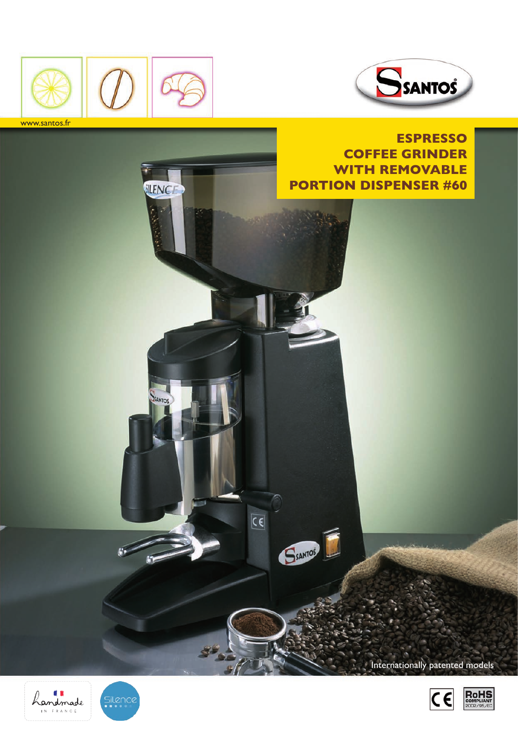



SILENCE

SANTO

 $\overline{\mathsf{C}\mathsf{C}}$ 

SSANTOS

www.santos.fr

**EsPRESSO COFFEE Grinder with removable portion dispenser #60**

Internationally patented models





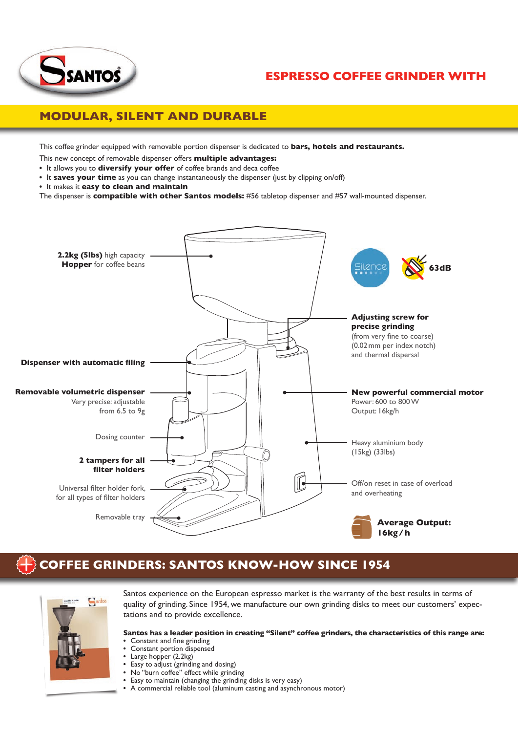

## **Espresso coffee grinder with**

## **Modular, silent and durable**

This coffee grinder equipped with removable portion dispenser is dedicated to **bars, hotels and restaurants.**

This new concept of removable dispenser offers **multiple advantages:**

- It allows you to **diversify your offer** of coffee brands and deca coffee
- It **saves your time** as you can change instantaneously the dispenser (just by clipping on/off)
- It makes it **easy to clean and maintain**

The dispenser is **compatible with other Santos models:** #56 tabletop dispenser and #57 wall-mounted dispenser.



# **Coffee grinders: Santos know-how since 1954**



Santos experience on the European espresso market is the warranty of the best results in terms of quality of grinding. Since 1954, we manufacture our own grinding disks to meet our customers' expectations and to provide excellence.

**Santos has a leader position in creating "Silent" coffee grinders, the characteristics of this range are:** • Constant and fine grinding

- Constant portion dispensed
- Large hopper (2.2kg)
- Easy to adjust (grinding and dosing)
- No "burn coffee" effect while grinding
- Easy to maintain (changing the grinding disks is very easy)
- A commercial reliable tool (aluminum casting and asynchronous motor)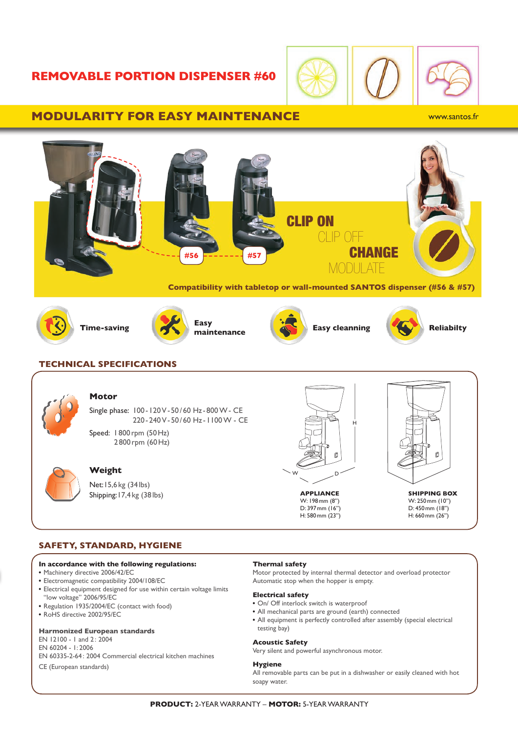### **removable portion dispenser #60**



#### **modularity for easy maintenance**

www.santos.fr



• RoHS directive 2002/95/EC

#### **Harmonized European standards**

EN 12100 - 1 and 2: 2004 EN 60204 - 1: 2006 EN 60335-2-64: 2004 Commercial electrical kitchen machines

CE (European standards)

- All mechanical parts are ground (earth) connected
- All equipment is perfectly controlled after assembly (special electrical testing bay)

#### **Acoustic Safety**

Very silent and powerful asynchronous motor.

#### **Hygiene**

All removable parts can be put in a dishwasher or easily cleaned with hot soapy water.